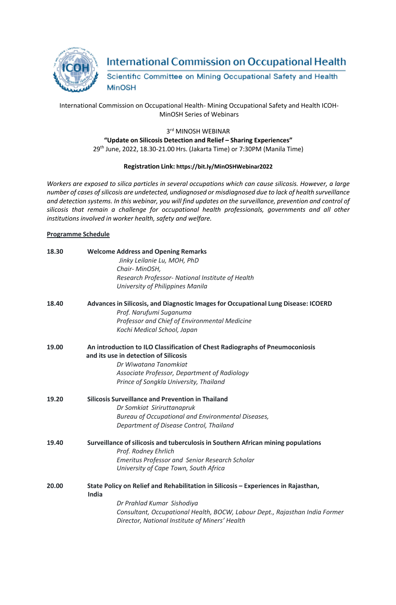

# **International Commission on Occupational Health**

Scientific Committee on Mining Occupational Safety and Health **MinOSH** 

## International Commission on Occupational Health- Mining Occupational Safety and Health ICOH-MinOSH Series of Webinars

#### 3rd MINOSH WEBINAR **"Update on Silicosis Detection and Relief – Sharing Experiences"** 29th June, 2022, 18.30-21.00 Hrs. (Jakarta Time) or 7:30PM (Manila Time)

## **Registration Link: https://bit.ly/MinOSHWebinar2022**

*Workers are exposed to silica particles in several occupations which can cause silicosis. However, a large number of cases ofsilicosis are undetected, undiagnosed or misdiagnosed due to lack of health surveillance* and detection systems. In this webinar, you will find updates on the surveillance, prevention and control of *silicosis that remain a challenge for occupational health professionals, governments and all other institutions involved in worker health, safety and welfare.*

### **Programme Schedule**

| 18.30 | <b>Welcome Address and Opening Remarks</b><br>Jinky Leilanie Lu, MOH, PhD                                                     |
|-------|-------------------------------------------------------------------------------------------------------------------------------|
|       | Chair-MinOSH,                                                                                                                 |
|       | Research Professor- National Institute of Health                                                                              |
|       | University of Philippines Manila                                                                                              |
| 18.40 | Advances in Silicosis, and Diagnostic Images for Occupational Lung Disease: ICOERD                                            |
|       | Prof. Narufumi Suganuma                                                                                                       |
|       | Professor and Chief of Environmental Medicine                                                                                 |
|       | Kochi Medical School, Japan                                                                                                   |
| 19.00 | An introduction to ILO Classification of Chest Radiographs of Pneumoconiosis<br>and its use in detection of Silicosis         |
|       | Dr Wiwatana Tanomkiat                                                                                                         |
|       | Associate Professor, Department of Radiology                                                                                  |
|       | Prince of Songkla University, Thailand                                                                                        |
| 19.20 | <b>Silicosis Surveillance and Prevention in Thailand</b>                                                                      |
|       | Dr Somkiat Siriruttanapruk                                                                                                    |
|       | Bureau of Occupational and Environmental Diseases,                                                                            |
|       | Department of Disease Control, Thailand                                                                                       |
| 19.40 | Surveillance of silicosis and tuberculosis in Southern African mining populations                                             |
|       | Prof. Rodney Ehrlich                                                                                                          |
|       | <b>Emeritus Professor and Senior Research Scholar</b>                                                                         |
|       | University of Cape Town, South Africa                                                                                         |
| 20.00 | State Policy on Relief and Rehabilitation in Silicosis - Experiences in Rajasthan,<br>India                                   |
|       | Dr Prahlad Kumar Sishodiya                                                                                                    |
|       | Consultant, Occupational Health, BOCW, Labour Dept., Rajasthan India Former<br>Director, National Institute of Miners' Health |